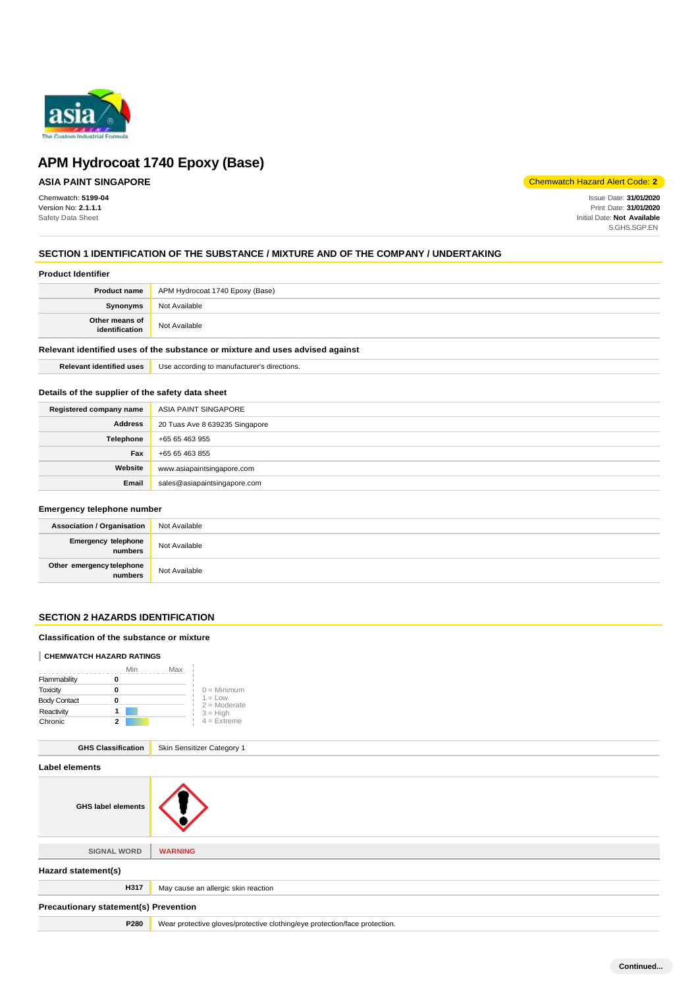

# **ASIA PAINT SINGAPORE**

Chemwatch: **5199-04** Version No: **2.1.1.1** Safety Data Sheet

Chemwatch Hazard Alert Code: **2**

Issue Date: **31/01/2020** Print Date: **31/01/2020** Initial Date: **Not Available** S.GHS.SGP.EN

# **SECTION 1 IDENTIFICATION OF THE SUBSTANCE / MIXTURE AND OF THE COMPANY / UNDERTAKING**

## **Product Identifier**

|                                  | <b>Product name</b> APM Hydrocoat 1740 Epoxy (Base) |
|----------------------------------|-----------------------------------------------------|
| <b>Synonyms</b>                  | Not Available                                       |
| Other means of<br>identification | Not Available                                       |

#### **Relevant identified uses of the substance or mixture and uses advised against**

**Relevant identified uses** Use according to manufacturer's directions.

## **Details of the supplier of the safety data sheet**

| Registered company name | ASIA PAINT SINGAPORE           |
|-------------------------|--------------------------------|
| <b>Address</b>          | 20 Tuas Ave 8 639235 Singapore |
| Telephone               | +65 65 463 955                 |
| Fax                     | +65 65 463 855                 |
| Website                 | www.asiapaintsingapore.com     |
| Email                   | sales@asiapaintsingapore.com   |

## **Emergency telephone number**

| <b>Association / Organisation</b>    | Not Available |
|--------------------------------------|---------------|
| Emergency telephone<br>numbers       | Not Available |
| Other emergency telephone<br>numbers | Not Available |

## **SECTION 2 HAZARDS IDENTIFICATION**

#### **Classification of the substance or mixture**

#### **CHEMWATCH HAZARD RATINGS**

|                     | Min                       | Max                         |  |
|---------------------|---------------------------|-----------------------------|--|
| Flammability        | 0                         |                             |  |
| Toxicity            | 0                         | $0 =$ Minimum               |  |
| <b>Body Contact</b> | 0                         | $1 = Low$<br>$2 =$ Moderate |  |
| Reactivity          | 1                         | $3 = High$                  |  |
| Chronic             | 2                         | $4 =$ Extreme               |  |
|                     | <b>GHS Classification</b> | Skin Sensitizer Category 1  |  |

|                                       | <b>CINIT CONSIDERS</b> Calcgory                                            |  |
|---------------------------------------|----------------------------------------------------------------------------|--|
| Label elements                        |                                                                            |  |
| <b>GHS label elements</b>             | $\blacksquare$                                                             |  |
|                                       |                                                                            |  |
| <b>SIGNAL WORD</b>                    | <b>WARNING</b>                                                             |  |
| Hazard statement(s)                   |                                                                            |  |
| H317                                  | May cause an allergic skin reaction                                        |  |
| Precautionary statement(s) Prevention |                                                                            |  |
| P280                                  | Wear protective gloves/protective clothing/eye protection/face protection. |  |
|                                       |                                                                            |  |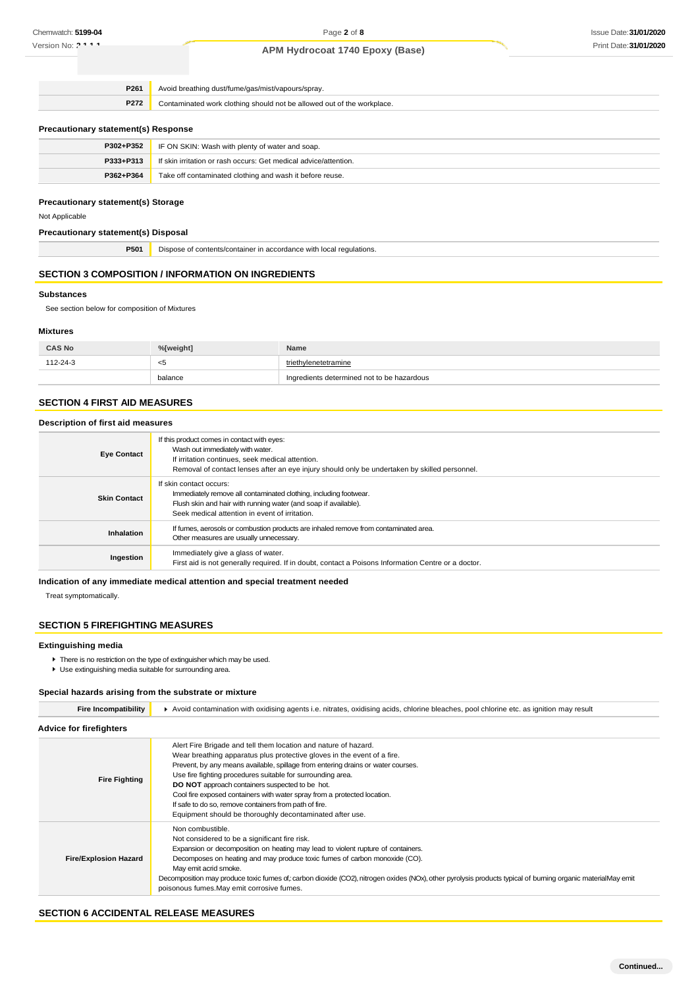| P261<br>Avoid breathing dust/fume/gas/mist/vapours/spray.                      |                                                                  |
|--------------------------------------------------------------------------------|------------------------------------------------------------------|
| P272<br>Contaminated work clothing should not be allowed out of the workplace. |                                                                  |
| <b>Precautionary statement(s) Response</b>                                     |                                                                  |
| P302+P352                                                                      | IF ON SKIN: Wash with plenty of water and soap.                  |
| P333+P313                                                                      | If skin irritation or rash occurs: Get medical advice/attention. |

| $3 + P313$ | f skin irritation or rash occurs: Get medical advice/attention. |
|------------|-----------------------------------------------------------------|
| P362+P364  | Take off contaminated clothing and wash it before reuse.        |
|            |                                                                 |

## **Precautionary statement(s) Storage**

Not Applicable

# **Precautionary statement(s) Disposal**

**P501** Dispose of contents/container in accordance with local regulations.

# **SECTION 3 COMPOSITION / INFORMATION ON INGREDIENTS**

## **Substances**

See section below for composition of Mixtures

#### **Mixtures**

| <b>CAS No</b> | %[weight] | Name                                       |
|---------------|-----------|--------------------------------------------|
| 112-24-3      | - <5      | triethylenetetramine                       |
|               | balance   | Ingredients determined not to be hazardous |

#### **SECTION 4 FIRST AID MEASURES**

## **Description of first aid measures**

| <b>Eye Contact</b>  | If this product comes in contact with eyes:<br>Wash out immediately with water.<br>If irritation continues, seek medical attention.<br>Removal of contact lenses after an eye injury should only be undertaken by skilled personnel. |
|---------------------|--------------------------------------------------------------------------------------------------------------------------------------------------------------------------------------------------------------------------------------|
| <b>Skin Contact</b> | If skin contact occurs:<br>Immediately remove all contaminated clothing, including footwear.<br>Flush skin and hair with running water (and soap if available).<br>Seek medical attention in event of irritation.                    |
| <b>Inhalation</b>   | If fumes, aerosols or combustion products are inhaled remove from contaminated area.<br>Other measures are usually unnecessary.                                                                                                      |
| Ingestion           | Immediately give a glass of water.<br>First aid is not generally required. If in doubt, contact a Poisons Information Centre or a doctor.                                                                                            |

## **Indication of any immediate medical attention and special treatment needed**

Treat symptomatically.

## **SECTION 5 FIREFIGHTING MEASURES**

#### **Extinguishing media**

- **There is no restriction on the type of extinguisher which may be used.**
- Use extinguishing media suitable for surrounding area.

# **Special hazards arising from the substrate or mixture**

| <b>Fire Incompatibility</b>    | Avoid contamination with oxidising agents i.e. nitrates, oxidising acids, chlorine bleaches, pool chlorine etc. as ignition may result                                                                                                                                                                                                                                                                                                                                                                                                                    |  |
|--------------------------------|-----------------------------------------------------------------------------------------------------------------------------------------------------------------------------------------------------------------------------------------------------------------------------------------------------------------------------------------------------------------------------------------------------------------------------------------------------------------------------------------------------------------------------------------------------------|--|
| <b>Advice for firefighters</b> |                                                                                                                                                                                                                                                                                                                                                                                                                                                                                                                                                           |  |
| <b>Fire Fighting</b>           | Alert Fire Brigade and tell them location and nature of hazard.<br>Wear breathing apparatus plus protective gloves in the event of a fire.<br>Prevent, by any means available, spillage from entering drains or water courses.<br>Use fire fighting procedures suitable for surrounding area.<br><b>DO NOT</b> approach containers suspected to be hot.<br>Cool fire exposed containers with water spray from a protected location.<br>If safe to do so, remove containers from path of fire.<br>Equipment should be thoroughly decontaminated after use. |  |
| <b>Fire/Explosion Hazard</b>   | Non combustible.<br>Not considered to be a significant fire risk.<br>Expansion or decomposition on heating may lead to violent rupture of containers.<br>Decomposes on heating and may produce toxic fumes of carbon monoxide (CO).<br>May emit acrid smoke.<br>Decomposition may produce toxic fumes of carbon dioxide (CO2), nitrogen oxides (NOx), other pyrolysis products typical of burning organic materialMay emit<br>poisonous fumes. May emit corrosive fumes.                                                                                  |  |

## **SECTION 6 ACCIDENTAL RELEASE MEASURES**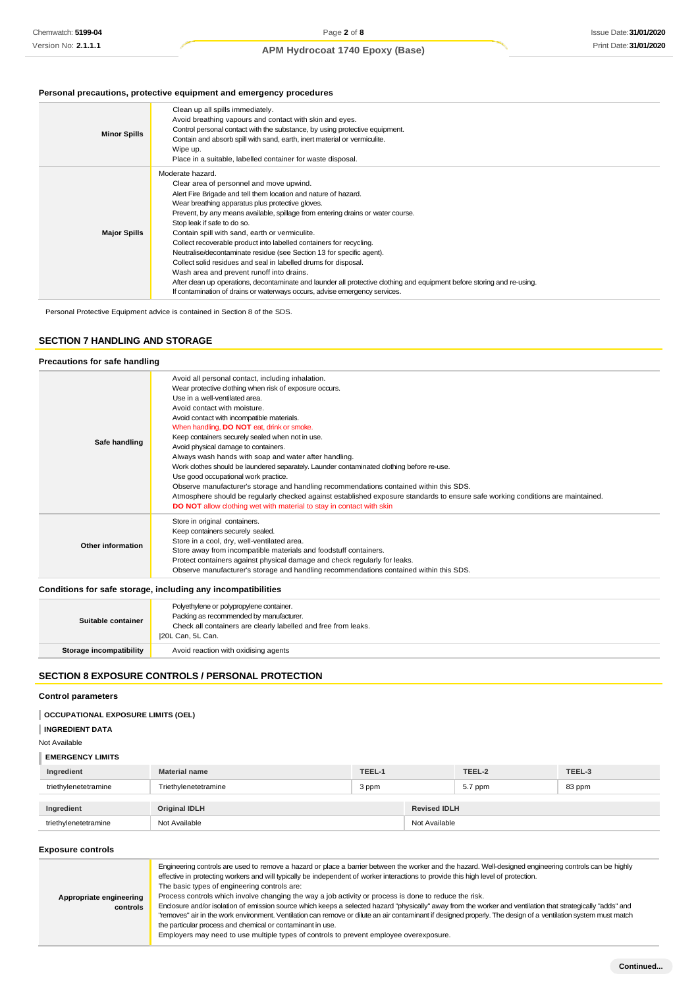## **Personal precautions, protective equipment and emergency procedures**

| <b>Minor Spills</b> | Clean up all spills immediately.<br>Avoid breathing vapours and contact with skin and eyes.<br>Control personal contact with the substance, by using protective equipment.<br>Contain and absorb spill with sand, earth, inert material or vermiculite.<br>Wipe up.<br>Place in a suitable, labelled container for waste disposal.                                                                                                                                                                                                                                                                                                                                                                                                                                                                                               |
|---------------------|----------------------------------------------------------------------------------------------------------------------------------------------------------------------------------------------------------------------------------------------------------------------------------------------------------------------------------------------------------------------------------------------------------------------------------------------------------------------------------------------------------------------------------------------------------------------------------------------------------------------------------------------------------------------------------------------------------------------------------------------------------------------------------------------------------------------------------|
| <b>Major Spills</b> | Moderate hazard.<br>Clear area of personnel and move upwind.<br>Alert Fire Brigade and tell them location and nature of hazard.<br>Wear breathing apparatus plus protective gloves.<br>Prevent, by any means available, spillage from entering drains or water course.<br>Stop leak if safe to do so.<br>Contain spill with sand, earth or vermiculite.<br>Collect recoverable product into labelled containers for recycling.<br>Neutralise/decontaminate residue (see Section 13 for specific agent).<br>Collect solid residues and seal in labelled drums for disposal.<br>Wash area and prevent runoff into drains.<br>After clean up operations, decontaminate and launder all protective clothing and equipment before storing and re-using.<br>If contamination of drains or waterways occurs, advise emergency services. |

Personal Protective Equipment advice is contained in Section 8 of the SDS.

## **SECTION 7 HANDLING AND STORAGE**

## **Precautions for safe handling**

| Safe handling     | Avoid all personal contact, including inhalation.<br>Wear protective clothing when risk of exposure occurs.<br>Use in a well-ventilated area.<br>Avoid contact with moisture.<br>Avoid contact with incompatible materials.<br>When handling, <b>DO NOT</b> eat, drink or smoke.<br>Keep containers securely sealed when not in use.<br>Avoid physical damage to containers.<br>Always wash hands with soap and water after handling.<br>Work clothes should be laundered separately. Launder contaminated clothing before re-use.<br>Use good occupational work practice.<br>Observe manufacturer's storage and handling recommendations contained within this SDS.<br>Atmosphere should be regularly checked against established exposure standards to ensure safe working conditions are maintained.<br><b>DO NOT</b> allow clothing wet with material to stay in contact with skin |
|-------------------|----------------------------------------------------------------------------------------------------------------------------------------------------------------------------------------------------------------------------------------------------------------------------------------------------------------------------------------------------------------------------------------------------------------------------------------------------------------------------------------------------------------------------------------------------------------------------------------------------------------------------------------------------------------------------------------------------------------------------------------------------------------------------------------------------------------------------------------------------------------------------------------|
| Other information | Store in original containers.<br>Keep containers securely sealed.<br>Store in a cool, dry, well-ventilated area.<br>Store away from incompatible materials and foodstuff containers.<br>Protect containers against physical damage and check regularly for leaks.<br>Observe manufacturer's storage and handling recommendations contained within this SDS.                                                                                                                                                                                                                                                                                                                                                                                                                                                                                                                            |

#### **Conditions for safe storage, including any incompatibilities**

| Suitable container      | Polyethylene or polypropylene container.<br>Packing as recommended by manufacturer.<br>Check all containers are clearly labelled and free from leaks.<br>20L Can, 5L Can. |
|-------------------------|---------------------------------------------------------------------------------------------------------------------------------------------------------------------------|
| Storage incompatibility | Avoid reaction with oxidising agents                                                                                                                                      |

## **SECTION 8 EXPOSURE CONTROLS / PERSONAL PROTECTION**

## **Control parameters**

## **OCCUPATIONAL EXPOSURE LIMITS (OEL)**

**INGREDIENT DATA**

Not Available

## **EMERGENCY LIMITS**

| Ingredient           | <b>Material name</b> | TEEL-1 |                     | TEEL-2  | TEEL-3 |
|----------------------|----------------------|--------|---------------------|---------|--------|
| triethylenetetramine | Triethylenetetramine | 3 ppm  |                     | 5.7 ppm | 83 ppm |
| Ingredient           | Original IDLH        |        | <b>Revised IDLH</b> |         |        |
| triethylenetetramine | Not Available        |        | Not Available       |         |        |

#### **Exposure controls**

| Appropriate engineering<br>controls | Engineering controls are used to remove a hazard or place a barrier between the worker and the hazard. Well-designed engineering controls can be highly<br>effective in protecting workers and will typically be independent of worker interactions to provide this high level of protection.<br>The basic types of engineering controls are:<br>Process controls which involve changing the way a job activity or process is done to reduce the risk.<br>Enclosure and/or isolation of emission source which keeps a selected hazard "physically" away from the worker and ventilation that strategically "adds" and<br>"removes" air in the work environment. Ventilation can remove or dilute an air contaminant if designed properly. The design of a ventilation system must match<br>the particular process and chemical or contaminant in use.<br>Employers may need to use multiple types of controls to prevent employee overexposure. |
|-------------------------------------|-------------------------------------------------------------------------------------------------------------------------------------------------------------------------------------------------------------------------------------------------------------------------------------------------------------------------------------------------------------------------------------------------------------------------------------------------------------------------------------------------------------------------------------------------------------------------------------------------------------------------------------------------------------------------------------------------------------------------------------------------------------------------------------------------------------------------------------------------------------------------------------------------------------------------------------------------|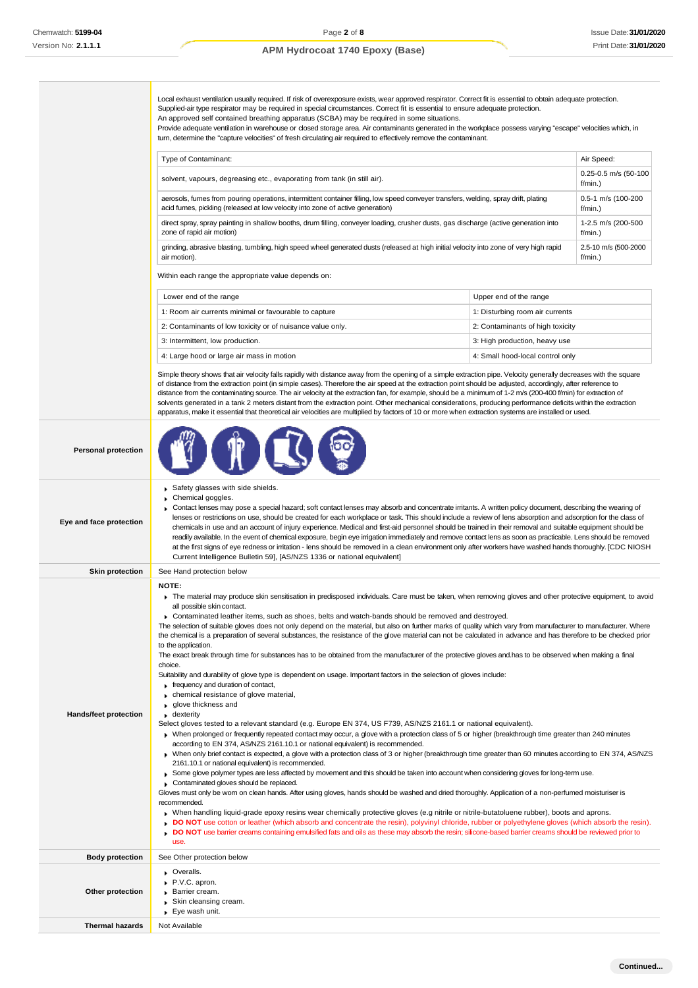**Thermal hazards** Not Available

## **APM Hydrocoat 1740 Epoxy (Base)**

Local exhaust ventilation usually required. If risk of overexposure exists, wear approved respirator. Correct fit is essential to obtain adequate protection.

Supplied-air type respirator may be required in special circumstances. Correct fit is essential to ensure adequate protection. An approved self contained breathing apparatus (SCBA) may be required in some situations. Provide adequate ventilation in warehouse or closed storage area. Air contaminants generated in the workplace possess varying "escape" velocities which, in turn, determine the "capture velocities" of fresh circulating air required to effectively remove the contaminant. Within each range the appropriate value depends on: Simple theory shows that air velocity falls rapidly with distance away from the opening of a simple extraction pipe. Velocity generally decreases with the square of distance from the extraction point (in simple cases). Therefore the air speed at the extraction point should be adjusted, accordingly, after reference to distance from the contaminating source. The air velocity at the extraction fan, for example, should be a minimum of 1-2 m/s (200-400 f/min) for extraction of solvents generated in a tank 2 meters distant from the extraction point. Other mechanical considerations, producing performance deficits within the extraction apparatus, make it essential that theoretical air velocities are multiplied by factors of 10 or more when extraction systems are installed or used. **Personal protection Eye and face protection** Safety glasses with side shields. Chemical goggles Contact lenses may pose a special hazard; soft contact lenses may absorb and concentrate irritants. A written policy document, describing the wearing of lenses or restrictions on use, should be created for each workplace or task. This should include a review of lens absorption and adsorption for the class of chemicals in use and an account of injury experience. Medical and first-aid personnel should be trained in their removal and suitable equipment should be readily available. In the event of chemical exposure, begin eye irrigation immediately and remove contact lens as soon as practicable. Lens should be removed at the first signs of eye redness or irritation - lens should be removed in a clean environment only after workers have washed hands thoroughly. [CDC NIOSH Current Intelligence Bulletin 59], [AS/NZS 1336 or national equivalent] **Skin protection** See Hand protection below **Hands/feet protection NOTE:** The material may produce skin sensitisation in predisposed individuals. Care must be taken, when removing gloves and other protective equipment, to avoid all possible skin contact. Contaminated leather items, such as shoes, belts and watch-bands should be removed and destroyed. The selection of suitable gloves does not only depend on the material, but also on further marks of quality which vary from manufacturer to manufacturer. Where the chemical is a preparation of several substances, the resistance of the glove material can not be calculated in advance and has therefore to be checked prior to the application The exact break through time for substances has to be obtained from the manufacturer of the protective gloves and.has to be observed when making a final choice. Suitability and durability of glove type is dependent on usage. Important factors in the selection of gloves include: frequency and duration of contact,  $\triangleright$  chemical resistance of glove material, **p** glove thickness and **dexterity** Select gloves tested to a relevant standard (e.g. Europe EN 374, US F739, AS/NZS 2161.1 or national equivalent). When prolonged or frequently repeated contact may occur, a glove with a protection class of 5 or higher (breakthrough time greater than 240 minutes according to EN 374, AS/NZS 2161.10.1 or national equivalent) is recommended. When only brief contact is expected, a glove with a protection class of 3 or higher (breakthrough time greater than 60 minutes according to EN 374, AS/NZS 2161.10.1 or national equivalent) is recommended. Some glove polymer types are less affected by movement and this should be taken into account when considering gloves for long-term use Contaminated gloves should be replaced. Gloves must only be worn on clean hands. After using gloves, hands should be washed and dried thoroughly. Application of a non-perfumed moisturiser is recommended. When handling liquid-grade epoxy resins wear chemically protective gloves (e.g nitrile or nitrile-butatoluene rubber), boots and aprons. **DO NOT** use cotton or leather (which absorb and concentrate the resin), polyvinyl chloride, rubber or polyethylene gloves (which absorb the resin). **DO NOT** use barrier creams containing emulsified fats and oils as these may absorb the resin; silicone-based barrier creams should be reviewed prior to use. **Body protection** See Other protection below **Other protection Overalls** P.V.C. apron. Barrier cream. Skin cleansing cream. Eye wash unit. Type of Contaminant: Air Speed: Air Speed: Air Speed: Air Speed: Air Speed: Air Speed: Air Speed: Air Speed: Air Speed: Air Speed: Air Speed: Air Speed: Air Speed: Air Speed: Air Speed: Air Speed: Air Speed: Air Speed: Air solvent, vapours, degreasing etc., evaporating from tank (in still air). f/min.) aerosols, fumes from pouring operations, intermittent container filling, low speed conveyer transfers, welding, spray drift, plating acid fumes, pickling (released at low velocity into zone of active generation) 0.5-1 m/s (100-200 f/min.) direct spray, spray painting in shallow booths, drum filling, conveyer loading, crusher dusts, gas discharge (active generation into zone of rapid air motion) 1-2.5 m/s (200-500 f/min.) grinding, abrasive blasting, tumbling, high speed wheel generated dusts (released at high initial velocity into zone of very high rapid air motion). 2.5-10 m/s (500-2000 f/min.) Lower end of the range **Lower end of the range** Upper end of the range 1: Room air currents minimal or favourable to capture 1: Disturbing room air currents 2: Contaminants of low toxicity or of nuisance value only. 2: Contaminants of high toxicity 3: Intermittent, low production. **3.** The production of the state of the state of the state of the state of the state of the state of the state of the state of the state of the state of the state of the state of the state 4: Large hood or large air mass in motion 4: Small hood-local control only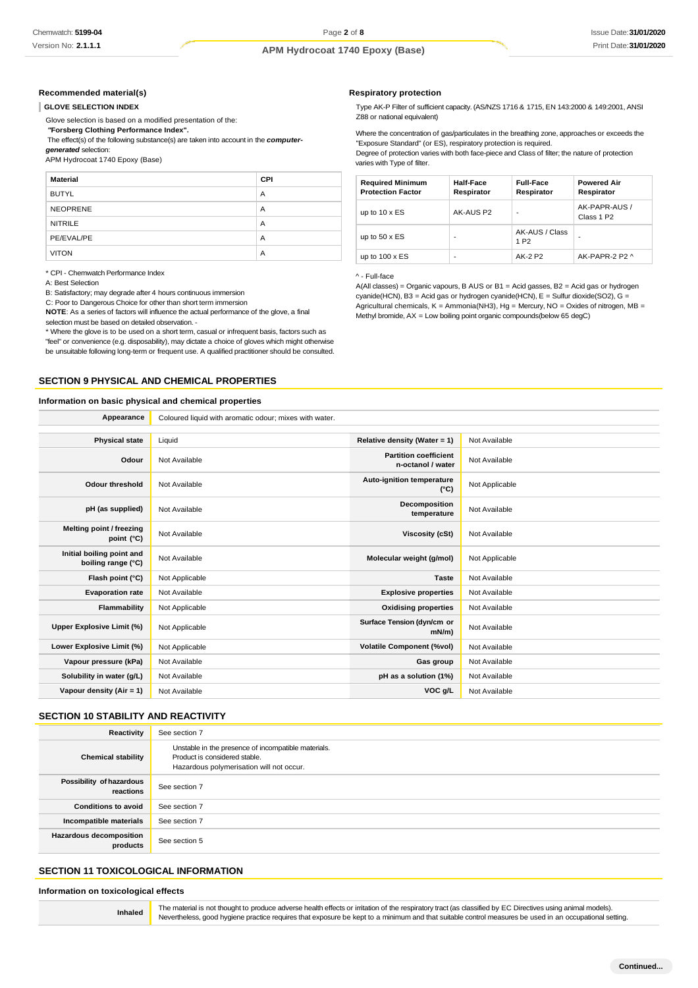## **Recommended material(s)**

#### **GLOVE SELECTION INDEX**

Glove selection is based on a modified presentation of the:

*"***Forsberg Clothing Performance Index".**

The effect(s) of the following substance(s) are taken into account in the *computer-*

*generated* selection:

APM Hydrocoat 1740 Epoxy (Base)

| <b>Material</b> | CPI |
|-----------------|-----|
| <b>BUTYL</b>    | A   |
| <b>NEOPRENE</b> | A   |
| <b>NITRILE</b>  | A   |
| PE/EVAL/PE      | A   |
| <b>VITON</b>    | A   |

\* CPI - Chemwatch Performance Index

A: Best Selection

B: Satisfactory; may degrade after 4 hours continuous immersion

C: Poor to Dangerous Choice for other than short term immersion

**NOTE**: As a series of factors will influence the actual performance of the glove, a final selection must be based on detailed observation. -

\* Where the glove is to be used on a short term, casual or infrequent basis, factors such as "feel" or convenience (e.g. disposability), may dictate a choice of gloves which might otherwise be unsuitable following long-term or frequent use. A qualified practitioner should be consulted.

# **SECTION 9 PHYSICAL AND CHEMICAL PROPERTIES**

#### **Information on basic physical and chemical properties**

**Respiratory protection**

Type AK-P Filter of sufficient capacity. (AS/NZS 1716 & 1715, EN 143:2000 & 149:2001, ANSI Z88 or national equivalent)

Where the concentration of gas/particulates in the breathing zone, approaches or exceeds the "Exposure Standard" (or ES), respiratory protection is required. Degree of protection varies with both face-piece and Class of filter; the nature of protection varies with Type of filter.

| <b>Required Minimum</b><br><b>Protection Factor</b> | Half-Face<br>Respirator | <b>Full-Face</b><br>Respirator     | <b>Powered Air</b><br>Respirator        |
|-----------------------------------------------------|-------------------------|------------------------------------|-----------------------------------------|
| up to $10 \times ES$                                | AK-AUS P2               | $\overline{\phantom{a}}$           | AK-PAPR-AUS /<br>Class 1 P <sub>2</sub> |
| up to $50 \times ES$                                | -                       | AK-AUS / Class<br>1 P <sub>2</sub> |                                         |
| up to $100 \times ES$                               | -                       | AK-2 P2                            | AK-PAPR-2 P2 ^                          |

#### ^ - Full-face

A(All classes) = Organic vapours, B AUS or B1 = Acid gasses, B2 = Acid gas or hydrogen cyanide(HCN), B3 = Acid gas or hydrogen cyanide(HCN), E = Sulfur dioxide(SO2), G = Agricultural chemicals,  $K =$  Ammonia(NH3), Hg = Mercury, NO = Oxides of nitrogen, MB = Methyl bromide, AX = Low boiling point organic compounds(below 65 degC)

| Appearance                                      | Coloured liquid with aromatic odour; mixes with water. |                                                   |                |
|-------------------------------------------------|--------------------------------------------------------|---------------------------------------------------|----------------|
|                                                 |                                                        |                                                   |                |
| <b>Physical state</b>                           | Liquid                                                 | Relative density (Water = 1)                      | Not Available  |
| Odour                                           | Not Available                                          | <b>Partition coefficient</b><br>n-octanol / water | Not Available  |
| <b>Odour threshold</b>                          | Not Available                                          | Auto-ignition temperature<br>$(^{\circ}C)$        | Not Applicable |
| pH (as supplied)                                | Not Available                                          | Decomposition<br>temperature                      | Not Available  |
| Melting point / freezing<br>point (°C)          | Not Available                                          | <b>Viscosity (cSt)</b>                            | Not Available  |
| Initial boiling point and<br>boiling range (°C) | Not Available                                          | Molecular weight (g/mol)                          | Not Applicable |
| Flash point (°C)                                | Not Applicable                                         | <b>Taste</b>                                      | Not Available  |
| <b>Evaporation rate</b>                         | Not Available                                          | <b>Explosive properties</b>                       | Not Available  |
| Flammability                                    | Not Applicable                                         | <b>Oxidising properties</b>                       | Not Available  |
| Upper Explosive Limit (%)                       | Not Applicable                                         | Surface Tension (dyn/cm or<br>$mN/m$ )            | Not Available  |
| Lower Explosive Limit (%)                       | Not Applicable                                         | <b>Volatile Component (%vol)</b>                  | Not Available  |
| Vapour pressure (kPa)                           | Not Available                                          | Gas group                                         | Not Available  |
| Solubility in water (g/L)                       | Not Available                                          | pH as a solution (1%)                             | Not Available  |
| Vapour density $(Air = 1)$                      | Not Available                                          | VOC g/L                                           | Not Available  |
|                                                 |                                                        |                                                   |                |

## **SECTION 10 STABILITY AND REACTIVITY**

| Reactivity                            | See section 7                                                                                                                    |
|---------------------------------------|----------------------------------------------------------------------------------------------------------------------------------|
| <b>Chemical stability</b>             | Unstable in the presence of incompatible materials.<br>Product is considered stable.<br>Hazardous polymerisation will not occur. |
| Possibility of hazardous<br>reactions | See section 7                                                                                                                    |
| <b>Conditions to avoid</b>            | See section 7                                                                                                                    |
| Incompatible materials                | See section 7                                                                                                                    |
| Hazardous decomposition<br>products   | See section 5                                                                                                                    |

## **SECTION 11 TOXICOLOGICAL INFORMATION**

**Information on toxicological effects**

**Inhaled** The material is not thought to produce adverse health effects or irritation of the respiratory tract (as classified by EC Directives using animal models). Nevertheless, good hygiene practice requires that exposure be kept to a minimum and that suitable control measures be used in an occupational setting.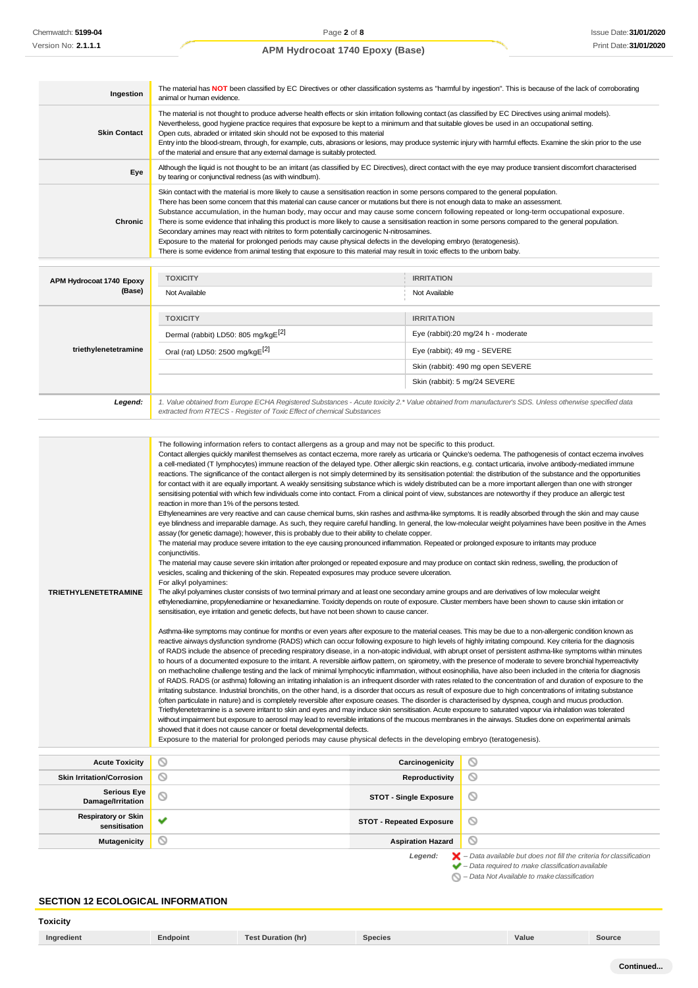| Ingestion                                                 | The material has NOT been classified by EC Directives or other classification systems as "harmful by ingestion". This is because of the lack of corroborating                                                                                                                                                                                                                                                                                                                                                                                                                                                                                                                                                                                                                                                                                                                                                                                                                                                                                                                                                                                                                                                                                                                                                                                                                                                                                                                                                                                                                                                                                                                                                                                                                                                                                                                                                                                                                                                                                                                                                                                                                                                                                                                                                                                                                                                                                                                                                                                                                                                                                                                                                                                                                                                                                                                                                                                                                                                                                                                                                                                                                                                                                                                                                                                                                                                                                                                                                                                                                                                                                                                                                                                                                                                                                                                                                                                       |                                   |                                    |
|-----------------------------------------------------------|-----------------------------------------------------------------------------------------------------------------------------------------------------------------------------------------------------------------------------------------------------------------------------------------------------------------------------------------------------------------------------------------------------------------------------------------------------------------------------------------------------------------------------------------------------------------------------------------------------------------------------------------------------------------------------------------------------------------------------------------------------------------------------------------------------------------------------------------------------------------------------------------------------------------------------------------------------------------------------------------------------------------------------------------------------------------------------------------------------------------------------------------------------------------------------------------------------------------------------------------------------------------------------------------------------------------------------------------------------------------------------------------------------------------------------------------------------------------------------------------------------------------------------------------------------------------------------------------------------------------------------------------------------------------------------------------------------------------------------------------------------------------------------------------------------------------------------------------------------------------------------------------------------------------------------------------------------------------------------------------------------------------------------------------------------------------------------------------------------------------------------------------------------------------------------------------------------------------------------------------------------------------------------------------------------------------------------------------------------------------------------------------------------------------------------------------------------------------------------------------------------------------------------------------------------------------------------------------------------------------------------------------------------------------------------------------------------------------------------------------------------------------------------------------------------------------------------------------------------------------------------------------------------------------------------------------------------------------------------------------------------------------------------------------------------------------------------------------------------------------------------------------------------------------------------------------------------------------------------------------------------------------------------------------------------------------------------------------------------------------------------------------------------------------------------------------------------------------------------------------------------------------------------------------------------------------------------------------------------------------------------------------------------------------------------------------------------------------------------------------------------------------------------------------------------------------------------------------------------------------------------------------------------------------------------------------------------|-----------------------------------|------------------------------------|
| <b>Skin Contact</b>                                       | animal or human evidence.<br>The material is not thought to produce adverse health effects or skin irritation following contact (as classified by EC Directives using animal models).<br>Nevertheless, good hygiene practice requires that exposure be kept to a minimum and that suitable gloves be used in an occupational setting.<br>Open cuts, abraded or irritated skin should not be exposed to this material<br>Entry into the blood-stream, through, for example, cuts, abrasions or lesions, may produce systemic injury with harmful effects. Examine the skin prior to the use<br>of the material and ensure that any external damage is suitably protected.                                                                                                                                                                                                                                                                                                                                                                                                                                                                                                                                                                                                                                                                                                                                                                                                                                                                                                                                                                                                                                                                                                                                                                                                                                                                                                                                                                                                                                                                                                                                                                                                                                                                                                                                                                                                                                                                                                                                                                                                                                                                                                                                                                                                                                                                                                                                                                                                                                                                                                                                                                                                                                                                                                                                                                                                                                                                                                                                                                                                                                                                                                                                                                                                                                                                            |                                   |                                    |
| Eye                                                       | Although the liquid is not thought to be an irritant (as classified by EC Directives), direct contact with the eye may produce transient discomfort characterised<br>by tearing or conjunctival redness (as with windburn).                                                                                                                                                                                                                                                                                                                                                                                                                                                                                                                                                                                                                                                                                                                                                                                                                                                                                                                                                                                                                                                                                                                                                                                                                                                                                                                                                                                                                                                                                                                                                                                                                                                                                                                                                                                                                                                                                                                                                                                                                                                                                                                                                                                                                                                                                                                                                                                                                                                                                                                                                                                                                                                                                                                                                                                                                                                                                                                                                                                                                                                                                                                                                                                                                                                                                                                                                                                                                                                                                                                                                                                                                                                                                                                         |                                   |                                    |
| Chronic                                                   | Skin contact with the material is more likely to cause a sensitisation reaction in some persons compared to the general population.<br>There has been some concem that this material can cause cancer or mutations but there is not enough data to make an assessment.<br>Substance accumulation, in the human body, may occur and may cause some concern following repeated or long-term occupational exposure.<br>There is some evidence that inhaling this product is more likely to cause a sensitisation reaction in some persons compared to the general population.<br>Secondary amines may react with nitrites to form potentially carcinogenic N-nitrosamines.<br>Exposure to the material for prolonged periods may cause physical defects in the developing embryo (teratogenesis).<br>There is some evidence from animal testing that exposure to this material may result in toxic effects to the unborn baby.                                                                                                                                                                                                                                                                                                                                                                                                                                                                                                                                                                                                                                                                                                                                                                                                                                                                                                                                                                                                                                                                                                                                                                                                                                                                                                                                                                                                                                                                                                                                                                                                                                                                                                                                                                                                                                                                                                                                                                                                                                                                                                                                                                                                                                                                                                                                                                                                                                                                                                                                                                                                                                                                                                                                                                                                                                                                                                                                                                                                                         |                                   |                                    |
|                                                           | <b>TOXICITY</b>                                                                                                                                                                                                                                                                                                                                                                                                                                                                                                                                                                                                                                                                                                                                                                                                                                                                                                                                                                                                                                                                                                                                                                                                                                                                                                                                                                                                                                                                                                                                                                                                                                                                                                                                                                                                                                                                                                                                                                                                                                                                                                                                                                                                                                                                                                                                                                                                                                                                                                                                                                                                                                                                                                                                                                                                                                                                                                                                                                                                                                                                                                                                                                                                                                                                                                                                                                                                                                                                                                                                                                                                                                                                                                                                                                                                                                                                                                                                     | <b>IRRITATION</b>                 |                                    |
| APM Hydrocoat 1740 Epoxy<br>(Base)                        | Not Available                                                                                                                                                                                                                                                                                                                                                                                                                                                                                                                                                                                                                                                                                                                                                                                                                                                                                                                                                                                                                                                                                                                                                                                                                                                                                                                                                                                                                                                                                                                                                                                                                                                                                                                                                                                                                                                                                                                                                                                                                                                                                                                                                                                                                                                                                                                                                                                                                                                                                                                                                                                                                                                                                                                                                                                                                                                                                                                                                                                                                                                                                                                                                                                                                                                                                                                                                                                                                                                                                                                                                                                                                                                                                                                                                                                                                                                                                                                                       | Not Available                     |                                    |
|                                                           | <b>TOXICITY</b>                                                                                                                                                                                                                                                                                                                                                                                                                                                                                                                                                                                                                                                                                                                                                                                                                                                                                                                                                                                                                                                                                                                                                                                                                                                                                                                                                                                                                                                                                                                                                                                                                                                                                                                                                                                                                                                                                                                                                                                                                                                                                                                                                                                                                                                                                                                                                                                                                                                                                                                                                                                                                                                                                                                                                                                                                                                                                                                                                                                                                                                                                                                                                                                                                                                                                                                                                                                                                                                                                                                                                                                                                                                                                                                                                                                                                                                                                                                                     | <b>IRRITATION</b>                 |                                    |
|                                                           | Dermal (rabbit) LD50: 805 mg/kgE[2]                                                                                                                                                                                                                                                                                                                                                                                                                                                                                                                                                                                                                                                                                                                                                                                                                                                                                                                                                                                                                                                                                                                                                                                                                                                                                                                                                                                                                                                                                                                                                                                                                                                                                                                                                                                                                                                                                                                                                                                                                                                                                                                                                                                                                                                                                                                                                                                                                                                                                                                                                                                                                                                                                                                                                                                                                                                                                                                                                                                                                                                                                                                                                                                                                                                                                                                                                                                                                                                                                                                                                                                                                                                                                                                                                                                                                                                                                                                 |                                   | Eye (rabbit):20 mg/24 h - moderate |
| triethylenetetramine                                      | Oral (rat) LD50: 2500 mg/kgE <sup>[2]</sup>                                                                                                                                                                                                                                                                                                                                                                                                                                                                                                                                                                                                                                                                                                                                                                                                                                                                                                                                                                                                                                                                                                                                                                                                                                                                                                                                                                                                                                                                                                                                                                                                                                                                                                                                                                                                                                                                                                                                                                                                                                                                                                                                                                                                                                                                                                                                                                                                                                                                                                                                                                                                                                                                                                                                                                                                                                                                                                                                                                                                                                                                                                                                                                                                                                                                                                                                                                                                                                                                                                                                                                                                                                                                                                                                                                                                                                                                                                         |                                   | Eye (rabbit); 49 mg - SEVERE       |
|                                                           |                                                                                                                                                                                                                                                                                                                                                                                                                                                                                                                                                                                                                                                                                                                                                                                                                                                                                                                                                                                                                                                                                                                                                                                                                                                                                                                                                                                                                                                                                                                                                                                                                                                                                                                                                                                                                                                                                                                                                                                                                                                                                                                                                                                                                                                                                                                                                                                                                                                                                                                                                                                                                                                                                                                                                                                                                                                                                                                                                                                                                                                                                                                                                                                                                                                                                                                                                                                                                                                                                                                                                                                                                                                                                                                                                                                                                                                                                                                                                     |                                   | Skin (rabbit): 490 mg open SEVERE  |
|                                                           |                                                                                                                                                                                                                                                                                                                                                                                                                                                                                                                                                                                                                                                                                                                                                                                                                                                                                                                                                                                                                                                                                                                                                                                                                                                                                                                                                                                                                                                                                                                                                                                                                                                                                                                                                                                                                                                                                                                                                                                                                                                                                                                                                                                                                                                                                                                                                                                                                                                                                                                                                                                                                                                                                                                                                                                                                                                                                                                                                                                                                                                                                                                                                                                                                                                                                                                                                                                                                                                                                                                                                                                                                                                                                                                                                                                                                                                                                                                                                     |                                   | Skin (rabbit): 5 mg/24 SEVERE      |
| Legend:                                                   | 1. Value obtained from Europe ECHA Registered Substances - Acute toxicity 2.* Value obtained from manufacturer's SDS. Unless otherwise specified data<br>extracted from RTECS - Register of Toxic Effect of chemical Substances                                                                                                                                                                                                                                                                                                                                                                                                                                                                                                                                                                                                                                                                                                                                                                                                                                                                                                                                                                                                                                                                                                                                                                                                                                                                                                                                                                                                                                                                                                                                                                                                                                                                                                                                                                                                                                                                                                                                                                                                                                                                                                                                                                                                                                                                                                                                                                                                                                                                                                                                                                                                                                                                                                                                                                                                                                                                                                                                                                                                                                                                                                                                                                                                                                                                                                                                                                                                                                                                                                                                                                                                                                                                                                                     |                                   |                                    |
| <b>TRIETHYLENETETRAMINE</b>                               | Contact allergies quickly manifest themselves as contact eczema, more rarely as urticaria or Quincke's oedema. The pathogenesis of contact eczema involves<br>a cell-mediated (T lymphocytes) immune reaction of the delayed type. Other allergic skin reactions, e.g. contact urticaria, involve antibody-mediated immune<br>reactions. The significance of the contact allergen is not simply determined by its sensitisation potential: the distribution of the substance and the opportunities<br>for contact with it are equally important. A weakly sensitising substance which is widely distributed can be a more important allergen than one with stronger<br>sensitising potential with which few individuals come into contact. From a clinical point of view, substances are noteworthy if they produce an allergic test<br>reaction in more than 1% of the persons tested.<br>Ethyleneamines are very reactive and can cause chemical burns, skin rashes and asthma-like symptoms. It is readily absorbed through the skin and may cause<br>eye blindness and irreparable damage. As such, they require careful handling. In general, the low-molecular weight polyamines have been positive in the Ames<br>assay (for genetic damage); however, this is probably due to their ability to chelate copper.<br>The material may produce severe irritation to the eye causing pronounced inflammation. Repeated or prolonged exposure to irritants may produce<br>conjunctivitis.<br>The material may cause severe skin irritation after prolonged or repeated exposure and may produce on contact skin redness, swelling, the production of<br>vesicles, scaling and thickening of the skin. Repeated exposures may produce severe ulceration.<br>For alkyl polyamines:<br>The alkyl polyamines cluster consists of two terminal primary and at least one secondary amine groups and are derivatives of low molecular weight<br>ethylenediamine, propylenediamine or hexanediamine. Toxicity depends on route of exposure. Cluster members have been shown to cause skin irritation or<br>sensitisation, eye irritation and genetic defects, but have not been shown to cause cancer.<br>Asthma-like symptoms may continue for months or even years after exposure to the material ceases. This may be due to a non-allergenic condition known as<br>reactive airways dysfunction syndrome (RADS) which can occur following exposure to high levels of highly irritating compound. Key criteria for the diagnosis<br>of RADS include the absence of preceding respiratory disease, in a non-atopic individual, with abrupt onset of persistent asthma-like symptoms within minutes<br>to hours of a documented exposure to the irritant. A reversible airflow pattern, on spirometry, with the presence of moderate to severe bronchial hyperreactivity<br>on methacholine challenge testing and the lack of minimal lymphocytic inflammation, without eosinophilia, have also been included in the criteria for diagnosis<br>of RADS. RADS (or asthma) following an irritating inhalation is an infrequent disorder with rates related to the concentration of and duration of exposure to the<br>irritating substance. Industrial bronchitis, on the other hand, is a disorder that occurs as result of exposure due to high concentrations of irritating substance<br>(often particulate in nature) and is completely reversible after exposure ceases. The disorder is characterised by dyspnea, cough and mucus production.<br>Triethylenetetramine is a severe irritant to skin and eyes and may induce skin sensitisation. Acute exposure to saturated vapour via inhalation was tolerated<br>without impairment but exposure to aerosol may lead to reversible irritations of the mucous membranes in the airways. Studies done on experimental animals<br>showed that it does not cause cancer or foetal developmental defects. |                                   |                                    |
|                                                           | $\circ$                                                                                                                                                                                                                                                                                                                                                                                                                                                                                                                                                                                                                                                                                                                                                                                                                                                                                                                                                                                                                                                                                                                                                                                                                                                                                                                                                                                                                                                                                                                                                                                                                                                                                                                                                                                                                                                                                                                                                                                                                                                                                                                                                                                                                                                                                                                                                                                                                                                                                                                                                                                                                                                                                                                                                                                                                                                                                                                                                                                                                                                                                                                                                                                                                                                                                                                                                                                                                                                                                                                                                                                                                                                                                                                                                                                                                                                                                                                                             |                                   | O                                  |
| <b>Acute Toxicity</b><br><b>Skin Irritation/Corrosion</b> | O                                                                                                                                                                                                                                                                                                                                                                                                                                                                                                                                                                                                                                                                                                                                                                                                                                                                                                                                                                                                                                                                                                                                                                                                                                                                                                                                                                                                                                                                                                                                                                                                                                                                                                                                                                                                                                                                                                                                                                                                                                                                                                                                                                                                                                                                                                                                                                                                                                                                                                                                                                                                                                                                                                                                                                                                                                                                                                                                                                                                                                                                                                                                                                                                                                                                                                                                                                                                                                                                                                                                                                                                                                                                                                                                                                                                                                                                                                                                                   | Carcinogenicity<br>Reproductivity | ◎                                  |
| <b>Serious Eye</b><br>Damage/Irritation                   | ◎                                                                                                                                                                                                                                                                                                                                                                                                                                                                                                                                                                                                                                                                                                                                                                                                                                                                                                                                                                                                                                                                                                                                                                                                                                                                                                                                                                                                                                                                                                                                                                                                                                                                                                                                                                                                                                                                                                                                                                                                                                                                                                                                                                                                                                                                                                                                                                                                                                                                                                                                                                                                                                                                                                                                                                                                                                                                                                                                                                                                                                                                                                                                                                                                                                                                                                                                                                                                                                                                                                                                                                                                                                                                                                                                                                                                                                                                                                                                                   | <b>STOT - Single Exposure</b>     | ◎                                  |
| <b>Respiratory or Skin</b><br>sensitisation               | v                                                                                                                                                                                                                                                                                                                                                                                                                                                                                                                                                                                                                                                                                                                                                                                                                                                                                                                                                                                                                                                                                                                                                                                                                                                                                                                                                                                                                                                                                                                                                                                                                                                                                                                                                                                                                                                                                                                                                                                                                                                                                                                                                                                                                                                                                                                                                                                                                                                                                                                                                                                                                                                                                                                                                                                                                                                                                                                                                                                                                                                                                                                                                                                                                                                                                                                                                                                                                                                                                                                                                                                                                                                                                                                                                                                                                                                                                                                                                   | <b>STOT - Repeated Exposure</b>   | ∾                                  |
| <b>Mutagenicity</b>                                       | N                                                                                                                                                                                                                                                                                                                                                                                                                                                                                                                                                                                                                                                                                                                                                                                                                                                                                                                                                                                                                                                                                                                                                                                                                                                                                                                                                                                                                                                                                                                                                                                                                                                                                                                                                                                                                                                                                                                                                                                                                                                                                                                                                                                                                                                                                                                                                                                                                                                                                                                                                                                                                                                                                                                                                                                                                                                                                                                                                                                                                                                                                                                                                                                                                                                                                                                                                                                                                                                                                                                                                                                                                                                                                                                                                                                                                                                                                                                                                   | <b>Aspiration Hazard</b>          | O                                  |

*Legend: – Data available but does not fill the criteria for classification – Data required to make classificationavailable*

*– Data Not Available to makeclassification*

# **SECTION 12 ECOLOGICAL INFORMATION**

**Toxicity Ingredient Endpoint Test Duration (hr) Species Value Source**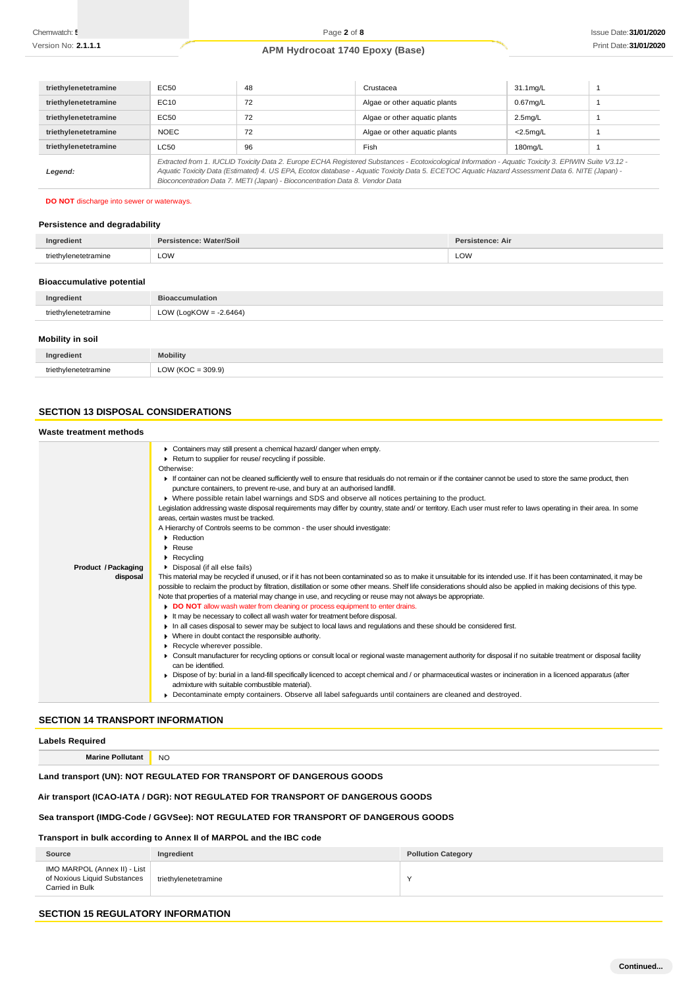| triethylenetetramine | EC50                                                                                                                                                                                                                                                                                                                                                                                     | 48 | Crustacea                     | $31.1 \text{mg/L}$ |  |
|----------------------|------------------------------------------------------------------------------------------------------------------------------------------------------------------------------------------------------------------------------------------------------------------------------------------------------------------------------------------------------------------------------------------|----|-------------------------------|--------------------|--|
| triethylenetetramine | EC10                                                                                                                                                                                                                                                                                                                                                                                     | 72 | Algae or other aquatic plants | $0.67$ mg/L        |  |
| triethylenetetramine | EC50                                                                                                                                                                                                                                                                                                                                                                                     | 72 | Algae or other aquatic plants | $2.5$ mg/L         |  |
| triethylenetetramine | <b>NOEC</b>                                                                                                                                                                                                                                                                                                                                                                              | 72 | Algae or other aquatic plants | $<$ 2.5 $mq/L$     |  |
| triethylenetetramine | LC50                                                                                                                                                                                                                                                                                                                                                                                     | 96 | Fish                          | 180mg/L            |  |
| Legend:              | Extracted from 1. IUCLID Toxicity Data 2. Europe ECHA Registered Substances - Ecotoxicological Information - Aquatic Toxicity 3. EPIWIN Suite V3.12 -<br>Aquatic Toxicity Data (Estimated) 4. US EPA, Ecotox database - Aquatic Toxicity Data 5. ECETOC Aquatic Hazard Assessment Data 6. NITE (Japan) -<br>Bioconcentration Data 7. METI (Japan) - Bioconcentration Data 8. Vendor Data |    |                               |                    |  |

#### **DO NOT** discharge into sewer or waterways.

## **Persistence and degradability**

| dien.            | r/Soil<br>alator. | stence: Air<br>י הני |
|------------------|-------------------|----------------------|
| ™etetramine<br>. | LOW               | LOW                  |

## **Bioaccumulative potential**

| Ingredient           | <b>Bioaccumulation</b>    |
|----------------------|---------------------------|
| triethylenetetramine | LOW (LogKOW = $-2.6464$ ) |
| Mobility in eail     |                           |

| ווטכּ ווו עווועטווו |                                  |
|---------------------|----------------------------------|
|                     | <b>Mobility</b>                  |
| . .                 | $\text{OW (KOC} = 309.9)$<br>LUW |

## **SECTION 13 DISPOSAL CONSIDERATIONS**

## **Waste treatment methods**

|                     | • Containers may still present a chemical hazard/danger when empty.                                                                                                  |
|---------------------|----------------------------------------------------------------------------------------------------------------------------------------------------------------------|
|                     | Return to supplier for reuse/ recycling if possible.                                                                                                                 |
|                     | Otherwise:                                                                                                                                                           |
|                     | If container can not be cleaned sufficiently well to ensure that residuals do not remain or if the container cannot be used to store the same product, then          |
|                     | puncture containers, to prevent re-use, and bury at an authorised landfill.                                                                                          |
|                     | ► Where possible retain label warnings and SDS and observe all notices pertaining to the product.                                                                    |
|                     | Legislation addressing waste disposal requirements may differ by country, state and/ or territory. Each user must refer to laws operating in their area. In some     |
|                     | areas, certain wastes must be tracked.                                                                                                                               |
|                     | A Hierarchy of Controls seems to be common - the user should investigate:                                                                                            |
|                     | $\blacktriangleright$ Reduction                                                                                                                                      |
|                     | $\triangleright$ Reuse                                                                                                                                               |
|                     | $\blacktriangleright$ Recycling                                                                                                                                      |
| Product / Packaging | Disposal (if all else fails)                                                                                                                                         |
| disposal            | This material may be recycled if unused, or if it has not been contaminated so as to make it unsuitable for its intended use. If it has been contaminated, it may be |
|                     | possible to reclaim the product by filtration, distillation or some other means. Shelf life considerations should also be applied in making decisions of this type.  |
|                     | Note that properties of a material may change in use, and recycling or reuse may not always be appropriate.                                                          |
|                     | DO NOT allow wash water from cleaning or process equipment to enter drains.                                                                                          |
|                     | It may be necessary to collect all wash water for treatment before disposal.                                                                                         |
|                     | In all cases disposal to sewer may be subject to local laws and requlations and these should be considered first.                                                    |
|                     | • Where in doubt contact the responsible authority.                                                                                                                  |
|                     | Recycle wherever possible.                                                                                                                                           |
|                     | ▶ Consult manufacturer for recycling options or consult local or regional waste management authority for disposal if no suitable treatment or disposal facility      |
|                     | can be identified.                                                                                                                                                   |
|                     | Dispose of by: burial in a land-fill specifically licenced to accept chemical and / or pharmaceutical wastes or incineration in a licenced apparatus (after          |
|                     | admixture with suitable combustible material).                                                                                                                       |
|                     | Decontaminate empty containers. Observe all label safeguards until containers are cleaned and destroyed.                                                             |
|                     |                                                                                                                                                                      |
|                     |                                                                                                                                                                      |

## **SECTION 14 TRANSPORT INFORMATION**

## **Labels Required**

**Marine Pollutant** NO

## **Land transport (UN): NOT REGULATED FOR TRANSPORT OF DANGEROUS GOODS**

## **Air transport (ICAO-IATA / DGR): NOT REGULATED FOR TRANSPORT OF DANGEROUS GOODS**

## **Sea transport (IMDG-Code / GGVSee): NOT REGULATED FOR TRANSPORT OF DANGEROUS GOODS**

## **Transport in bulk according to Annex II of MARPOL and the IBC code**

| Source                                                                          | Ingredient           | <b>Pollution Category</b> |
|---------------------------------------------------------------------------------|----------------------|---------------------------|
| IMO MARPOL (Annex II) - List<br>of Noxious Liquid Substances<br>Carried in Bulk | triethylenetetramine |                           |

# **SECTION 15 REGULATORY INFORMATION**